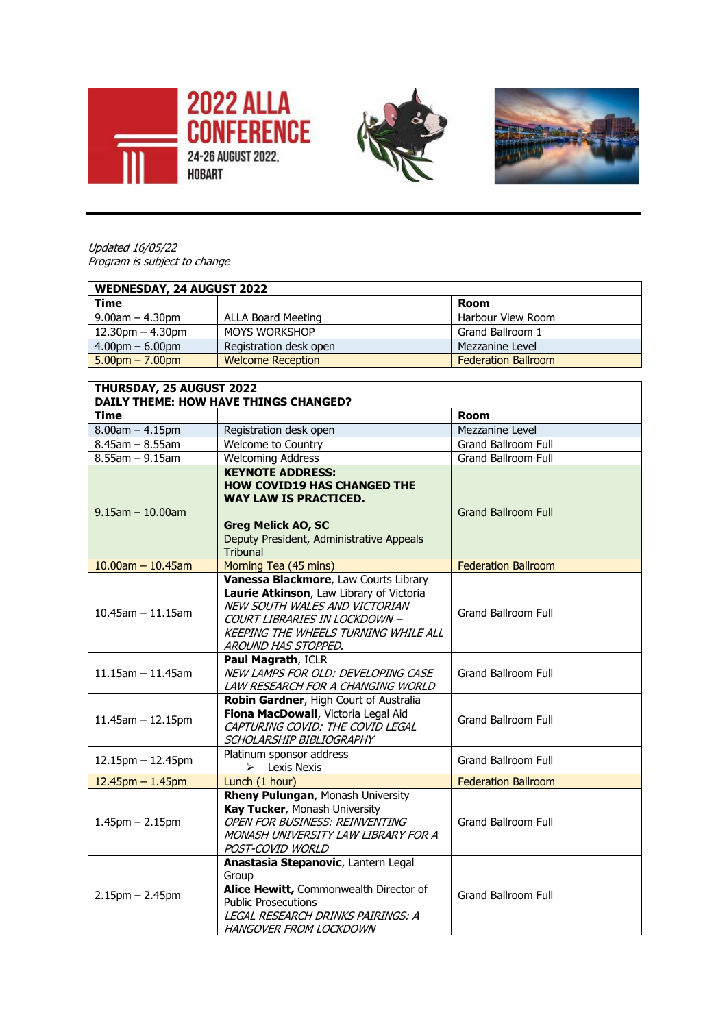





Updated 16/05/22 Program is subject to change

| WEDNESDAY, 24 AUGUST 2022         |                           |                            |  |  |
|-----------------------------------|---------------------------|----------------------------|--|--|
| Time                              |                           | Room                       |  |  |
| $9.00$ am $- 4.30$ pm             | <b>ALLA Board Meeting</b> | Harbour View Room          |  |  |
| $12.30$ pm $-4.30$ pm             | <b>MOYS WORKSHOP</b>      | Grand Ballroom 1           |  |  |
| $4.00 \text{pm} - 6.00 \text{pm}$ | Registration desk open    | Mezzanine Level            |  |  |
| $5.00pm - 7.00pm$                 | <b>Welcome Reception</b>  | <b>Federation Ballroom</b> |  |  |

| THURSDAY, 25 AUGUST 2022<br><b>DAILY THEME: HOW HAVE THINGS CHANGED?</b> |                                                                                                                                                                                                                           |                            |  |  |
|--------------------------------------------------------------------------|---------------------------------------------------------------------------------------------------------------------------------------------------------------------------------------------------------------------------|----------------------------|--|--|
| <b>Time</b>                                                              |                                                                                                                                                                                                                           | <b>Room</b>                |  |  |
| $8.00$ am $- 4.15$ pm                                                    | Registration desk open                                                                                                                                                                                                    | Mezzanine Level            |  |  |
| $8.45$ am $- 8.55$ am                                                    | Welcome to Country                                                                                                                                                                                                        | Grand Ballroom Full        |  |  |
| $8.55$ am $-9.15$ am                                                     | <b>Welcoming Address</b>                                                                                                                                                                                                  | Grand Ballroom Full        |  |  |
| $9.15$ am $-10.00$ am                                                    | <b>KEYNOTE ADDRESS:</b><br><b>HOW COVID19 HAS CHANGED THE</b><br><b>WAY LAW IS PRACTICED.</b><br><b>Greg Melick AO, SC</b><br>Deputy President, Administrative Appeals<br><b>Tribunal</b>                                 | <b>Grand Ballroom Full</b> |  |  |
| $10.00$ am - 10.45am                                                     | Morning Tea (45 mins)                                                                                                                                                                                                     | <b>Federation Ballroom</b> |  |  |
| $10.45$ am $-11.15$ am                                                   | Vanessa Blackmore, Law Courts Library<br>Laurie Atkinson, Law Library of Victoria<br>NEW SOUTH WALES AND VICTORIAN<br>COURT LIBRARIES IN LOCKDOWN -<br><b>KEEPING THE WHEELS TURNING WHILE ALL</b><br>AROUND HAS STOPPED. | <b>Grand Ballroom Full</b> |  |  |
| $11.15$ am $-11.45$ am                                                   | Paul Magrath, ICLR<br>NEW LAMPS FOR OLD: DEVELOPING CASE<br>LAW RESEARCH FOR A CHANGING WORLD                                                                                                                             | <b>Grand Ballroom Full</b> |  |  |
| $11.45$ am $- 12.15$ pm                                                  | Robin Gardner, High Court of Australia<br>Fiona MacDowall, Victoria Legal Aid<br>CAPTURING COVID: THE COVID LEGAL<br>SCHOLARSHIP BIBLIOGRAPHY                                                                             | <b>Grand Ballroom Full</b> |  |  |
| $12.15$ pm $- 12.45$ pm                                                  | Platinum sponsor address<br>Lexis Nexis<br>➤                                                                                                                                                                              | <b>Grand Ballroom Full</b> |  |  |
| $12.45$ pm $- 1.45$ pm                                                   | Lunch (1 hour)                                                                                                                                                                                                            | <b>Federation Ballroom</b> |  |  |
| $1.45$ pm $- 2.15$ pm                                                    | Rheny Pulungan, Monash University<br>Kay Tucker, Monash University<br>OPEN FOR BUSINESS: REINVENTING<br>MONASH UNIVERSITY LAW LIBRARY FOR A<br>POST-COVID WORLD                                                           | <b>Grand Ballroom Full</b> |  |  |
| $2.15$ pm $- 2.45$ pm                                                    | Anastasia Stepanovic, Lantern Legal<br>Group<br>Alice Hewitt, Commonwealth Director of<br><b>Public Prosecutions</b><br>LEGAL RESEARCH DRINKS PAIRINGS: A<br><b>HANGOVER FROM LOCKDOWN</b>                                | <b>Grand Ballroom Full</b> |  |  |